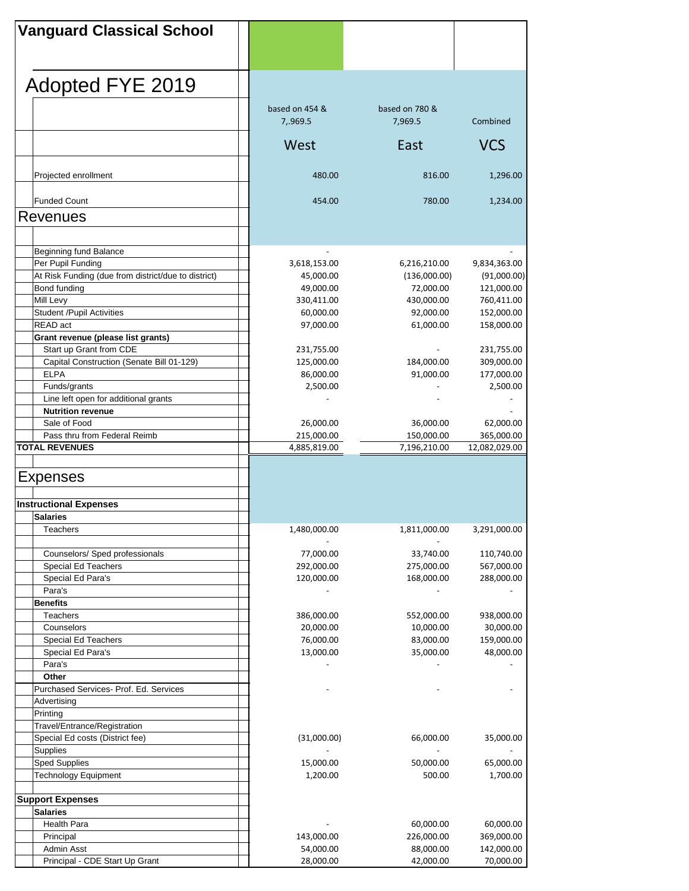| <b>Vanguard Classical School</b>                    |                        |                        |                         |
|-----------------------------------------------------|------------------------|------------------------|-------------------------|
|                                                     |                        |                        |                         |
|                                                     |                        |                        |                         |
|                                                     |                        |                        |                         |
| Adopted FYE 2019                                    |                        |                        |                         |
|                                                     | based on 454 &         | based on 780 &         |                         |
|                                                     | 7,.969.5               | 7,969.5                | Combined                |
|                                                     | West                   | East                   | <b>VCS</b>              |
|                                                     |                        |                        |                         |
| Projected enrollment                                | 480.00                 | 816.00                 | 1,296.00                |
|                                                     |                        |                        |                         |
| <b>Funded Count</b>                                 | 454.00                 | 780.00                 | 1,234.00                |
| <b>Revenues</b>                                     |                        |                        |                         |
|                                                     |                        |                        |                         |
| Beginning fund Balance                              |                        |                        |                         |
| Per Pupil Funding                                   | 3,618,153.00           | 6,216,210.00           | 9,834,363.00            |
| At Risk Funding (due from district/due to district) | 45,000.00              | (136,000.00)           | (91,000.00)             |
| Bond funding                                        | 49,000.00              | 72,000.00              | 121,000.00              |
| Mill Levy                                           | 330,411.00             | 430,000.00             | 760,411.00              |
| <b>Student /Pupil Activities</b>                    | 60,000.00              | 92,000.00              | 152,000.00              |
| READ act                                            | 97,000.00              | 61,000.00              | 158,000.00              |
| Grant revenue (please list grants)                  |                        |                        |                         |
| Start up Grant from CDE                             | 231,755.00             |                        | 231,755.00              |
| Capital Construction (Senate Bill 01-129)           | 125,000.00             | 184,000.00             | 309,000.00              |
| <b>ELPA</b>                                         | 86,000.00              | 91,000.00              | 177,000.00              |
| Funds/grants                                        | 2,500.00               |                        | 2,500.00                |
| Line left open for additional grants                |                        |                        |                         |
| <b>Nutrition revenue</b>                            |                        |                        |                         |
| Sale of Food                                        | 26,000.00              | 36,000.00              | 62,000.00               |
| Pass thru from Federal Reimb                        | 215,000.00             | 150,000.00             | 365,000.00              |
| <b>TOTAL REVENUES</b>                               | 4,885,819.00           | 7,196,210.00           | 12,082,029.00           |
|                                                     |                        |                        |                         |
| <b>Expenses</b>                                     |                        |                        |                         |
|                                                     |                        |                        |                         |
|                                                     |                        |                        |                         |
|                                                     |                        |                        |                         |
| <b>Instructional Expenses</b><br>Salaries           |                        |                        |                         |
| Teachers                                            | 1,480,000.00           | 1,811,000.00           | 3,291,000.00            |
|                                                     |                        |                        |                         |
| Counselors/ Sped professionals                      | 77,000.00              | 33,740.00              | 110,740.00              |
| Special Ed Teachers                                 | 292,000.00             | 275,000.00             | 567,000.00              |
| Special Ed Para's                                   | 120,000.00             | 168,000.00             | 288,000.00              |
| Para's                                              |                        |                        |                         |
| <b>Benefits</b>                                     |                        |                        |                         |
| Teachers                                            | 386,000.00             | 552,000.00             | 938,000.00              |
| Counselors                                          | 20,000.00              | 10,000.00              | 30,000.00               |
| Special Ed Teachers                                 | 76,000.00              | 83,000.00              | 159,000.00              |
| Special Ed Para's                                   | 13,000.00              | 35,000.00              | 48,000.00               |
| Para's                                              |                        |                        |                         |
| Other                                               |                        |                        |                         |
| Purchased Services- Prof. Ed. Services              |                        |                        |                         |
| Advertising                                         |                        |                        |                         |
| Printing                                            |                        |                        |                         |
| Travel/Entrance/Registration                        |                        |                        |                         |
| Special Ed costs (District fee)                     | (31,000.00)            | 66,000.00              | 35,000.00               |
| Supplies                                            |                        |                        |                         |
| Sped Supplies                                       | 15,000.00              | 50,000.00              | 65,000.00               |
| <b>Technology Equipment</b>                         | 1,200.00               | 500.00                 | 1,700.00                |
|                                                     |                        |                        |                         |
| <b>Support Expenses</b>                             |                        |                        |                         |
| <b>Salaries</b>                                     |                        |                        |                         |
| Health Para                                         |                        | 60,000.00              | 60,000.00               |
| Principal                                           | 143,000.00             | 226,000.00             | 369,000.00              |
| Admin Asst<br>Principal - CDE Start Up Grant        | 54,000.00<br>28,000.00 | 88,000.00<br>42,000.00 | 142,000.00<br>70,000.00 |